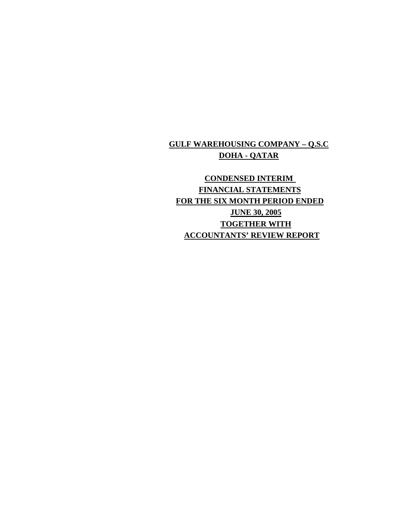### **GULF WAREHOUSING COMPANY – Q.S.C DOHA - QATAR**

## **CONDENSED INTERIM FINANCIAL STATEMENTS FOR THE SIX MONTH PERIOD ENDED JUNE 30, 2005 TOGETHER WITH ACCOUNTANTS' REVIEW REPORT**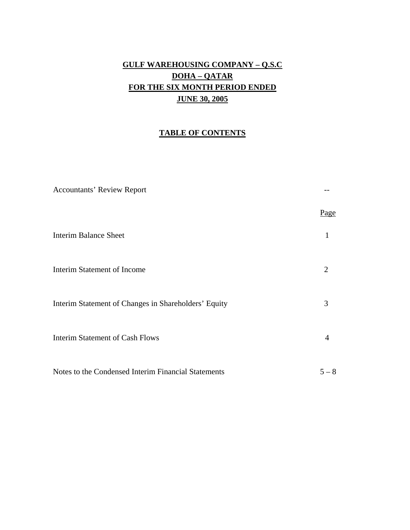## **GULF WAREHOUSING COMPANY – Q.S.C DOHA – QATAR FOR THE SIX MONTH PERIOD ENDED JUNE 30, 2005**

#### **TABLE OF CONTENTS**

| <b>Accountants' Review Report</b>                    |         |
|------------------------------------------------------|---------|
|                                                      | Page    |
| <b>Interim Balance Sheet</b>                         |         |
| Interim Statement of Income                          | 2       |
| Interim Statement of Changes in Shareholders' Equity | 3       |
| <b>Interim Statement of Cash Flows</b>               | 4       |
| Notes to the Condensed Interim Financial Statements  | $5 - 8$ |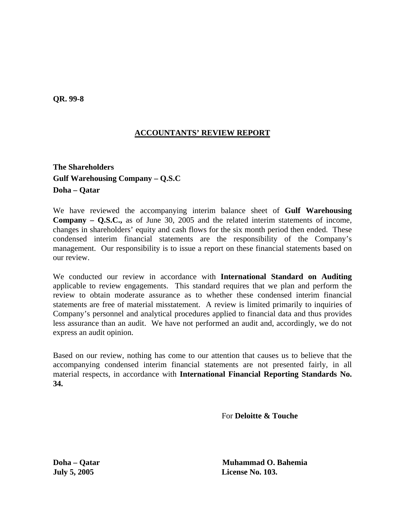**QR. 99-8** 

#### **ACCOUNTANTS' REVIEW REPORT**

**The Shareholders Gulf Warehousing Company – Q.S.C Doha – Qatar** 

We have reviewed the accompanying interim balance sheet of **Gulf Warehousing Company – Q.S.C.,** as of June 30, 2005 and the related interim statements of income, changes in shareholders' equity and cash flows for the six month period then ended. These condensed interim financial statements are the responsibility of the Company's management. Our responsibility is to issue a report on these financial statements based on our review.

We conducted our review in accordance with **International Standard on Auditing**  applicable to review engagements. This standard requires that we plan and perform the review to obtain moderate assurance as to whether these condensed interim financial statements are free of material misstatement. A review is limited primarily to inquiries of Company's personnel and analytical procedures applied to financial data and thus provides less assurance than an audit. We have not performed an audit and, accordingly, we do not express an audit opinion.

Based on our review, nothing has come to our attention that causes us to believe that the accompanying condensed interim financial statements are not presented fairly, in all material respects, in accordance with **International Financial Reporting Standards No. 34.** 

For **Deloitte & Touche**

**Doha – Qatar Muhammad O. Bahemia July 5, 2005 License No. 103.**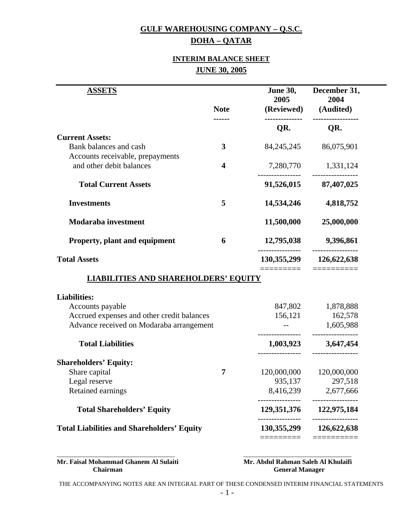# **GULF WAREHOUSING COMPANY – Q.S.C.**

## **DOHA – QATAR**

#### **INTERIM BALANCE SHEET JUNE 30, 2005**

| <b>ASSETS</b>                                                                            |                         | <b>June 30,</b><br>2005         | December 31,<br>2004                          |
|------------------------------------------------------------------------------------------|-------------------------|---------------------------------|-----------------------------------------------|
|                                                                                          | <b>Note</b>             | (Reviewed)                      | (Audited)                                     |
|                                                                                          |                         | QR.                             | QR.                                           |
| <b>Current Assets:</b>                                                                   |                         |                                 |                                               |
| Bank balances and cash                                                                   | 3                       | 84, 245, 245                    | 86,075,901                                    |
| Accounts receivable, prepayments                                                         |                         |                                 |                                               |
| and other debit balances                                                                 | $\overline{\mathbf{4}}$ | 7,280,770                       | 1,331,124                                     |
| <b>Total Current Assets</b>                                                              |                         | 91,526,015                      | 87,407,025                                    |
| <b>Investments</b>                                                                       | 5                       | 14,534,246                      | 4,818,752                                     |
| <b>Modaraba</b> investment                                                               |                         | 11,500,000                      | 25,000,000                                    |
| <b>Property, plant and equipment</b>                                                     | 6                       | 12,795,038                      | 9,396,861                                     |
| <b>Total Assets</b>                                                                      |                         |                                 | 130, 355, 299 126, 622, 638                   |
|                                                                                          |                         |                                 |                                               |
| <b>LIABILITIES AND SHAREHOLDERS' EQUITY</b>                                              |                         | ========                        | ==========                                    |
|                                                                                          |                         |                                 |                                               |
| Accounts payable                                                                         |                         | 847,802                         | 1,878,888                                     |
| Accrued expenses and other credit balances                                               |                         | 156,121                         | 162,578                                       |
| Advance received on Modaraba arrangement                                                 |                         |                                 | 1,605,988                                     |
| <b>Total Liabilities</b>                                                                 |                         | 1,003,923                       | 3,647,454                                     |
|                                                                                          |                         |                                 |                                               |
| Share capital                                                                            | 7                       | 120,000,000                     | 120,000,000                                   |
| Legal reserve                                                                            |                         | 935,137                         | 297,518                                       |
| Retained earnings                                                                        |                         | 8,416,239                       | 2,677,666                                     |
| <b>Liabilities:</b><br><b>Shareholders' Equity:</b><br><b>Total Shareholders' Equity</b> |                         | ----------------<br>129,351,376 | ----------------<br>122,975,184<br>---------- |

**Mr. Faisal Mohammad Ghanem Al Sulaiti 1986 Mr. Abdul Rahman Saleh Al Khulaifi 1986 Chairman** 

**General Manager** 

THE ACCOMPANYING NOTES ARE AN INTEGRAL PART OF THESE CONDENSED INTERIM FINANCIAL STATEMENTS

\_\_\_\_\_\_\_\_\_\_\_\_\_\_\_\_\_\_\_\_\_\_\_\_\_\_\_\_\_\_\_\_\_\_\_ \_\_\_\_\_\_\_\_\_\_\_\_\_\_\_\_\_\_\_\_\_\_\_\_\_\_\_\_\_\_\_\_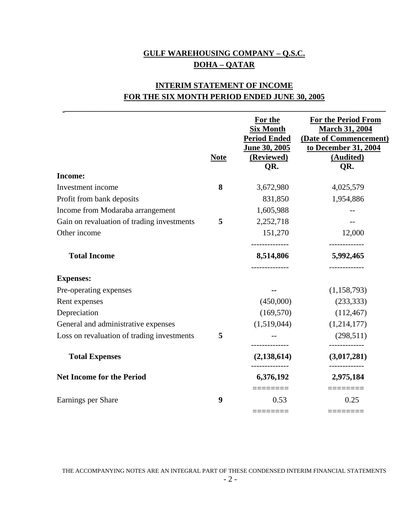## **GULF WAREHOUSING COMPANY – Q.S.C. DOHA – QATAR**

## **INTERIM STATEMENT OF INCOME FOR THE SIX MONTH PERIOD ENDED JUNE 30, 2005**

**\_\_\_\_\_\_\_\_\_\_\_\_\_\_\_\_\_\_\_\_\_\_\_\_\_\_\_\_\_\_\_\_\_\_\_\_\_\_\_\_\_\_\_\_\_\_\_\_\_\_\_\_\_\_\_\_\_\_\_\_\_\_\_\_\_\_\_\_\_\_\_\_\_\_\_\_\_\_\_\_** 

|                                            | <b>Note</b> | For the<br><b>Six Month</b><br><b>Period Ended</b><br>June 30, 2005<br>(Reviewed)<br>QR. | <b>For the Period From</b><br><b>March 31, 2004</b><br>(Date of Commencement)<br>to December 31, 2004<br>(Audited)<br>QR. |
|--------------------------------------------|-------------|------------------------------------------------------------------------------------------|---------------------------------------------------------------------------------------------------------------------------|
| <b>Income:</b>                             |             |                                                                                          |                                                                                                                           |
| Investment income                          | 8           | 3,672,980                                                                                | 4,025,579                                                                                                                 |
| Profit from bank deposits                  |             | 831,850                                                                                  | 1,954,886                                                                                                                 |
| Income from Modaraba arrangement           |             | 1,605,988                                                                                |                                                                                                                           |
| Gain on revaluation of trading investments | 5           | 2,252,718                                                                                |                                                                                                                           |
| Other income                               |             | 151,270                                                                                  | 12,000                                                                                                                    |
| <b>Total Income</b>                        |             | 8,514,806                                                                                | 5,992,465                                                                                                                 |
| <b>Expenses:</b>                           |             |                                                                                          |                                                                                                                           |
| Pre-operating expenses                     |             |                                                                                          | (1,158,793)                                                                                                               |
| Rent expenses                              |             | (450,000)                                                                                | (233, 333)                                                                                                                |
| Depreciation                               |             | (169, 570)                                                                               | (112, 467)                                                                                                                |
| General and administrative expenses        |             | (1,519,044)                                                                              | (1,214,177)                                                                                                               |
| Loss on revaluation of trading investments | 5           |                                                                                          | (298, 511)<br>-------------                                                                                               |
| <b>Total Expenses</b>                      |             | (2, 138, 614)                                                                            | (3,017,281)                                                                                                               |
| <b>Net Income for the Period</b>           |             | 6,376,192                                                                                | 2,975,184                                                                                                                 |
| Earnings per Share                         | 9           | ========<br>0.53                                                                         | ========<br>0.25                                                                                                          |
|                                            |             | ========                                                                                 | $=$ ========                                                                                                              |

THE ACCOMPANYING NOTES ARE AN INTEGRAL PART OF THESE CONDENSED INTERIM FINANCIAL STATEMENTS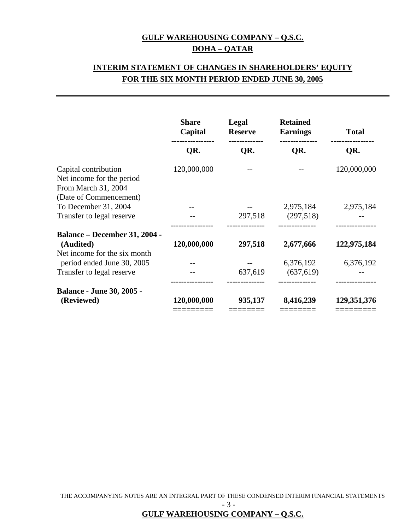### **GULF WAREHOUSING COMPANY – Q.S.C. DOHA – QATAR**

## **INTERIM STATEMENT OF CHANGES IN SHAREHOLDERS' EQUITY FOR THE SIX MONTH PERIOD ENDED JUNE 30, 2005**

| <b>Share</b><br>Capital | Legal<br><b>Reserve</b> |                         | <b>Total</b>                                  |  |
|-------------------------|-------------------------|-------------------------|-----------------------------------------------|--|
| QR.                     | QR.                     | QR.                     | QR.                                           |  |
| 120,000,000             |                         |                         | 120,000,000                                   |  |
|                         |                         | 2,975,184<br>(297,518)  | 2,975,184                                     |  |
| 120,000,000             | 297,518                 | 2,677,666               | 122,975,184                                   |  |
|                         | 637,619                 | 6,376,192<br>(637, 619) | 6,376,192                                     |  |
| 120,000,000             | 935,137                 | 8,416,239               | 129,351,376                                   |  |
|                         |                         |                         | <b>Retained</b><br><b>Earnings</b><br>297,518 |  |

THE ACCOMPANYING NOTES ARE AN INTEGRAL PART OF THESE CONDENSED INTERIM FINANCIAL STATEMENTS

- 3 -

**GULF WAREHOUSING COMPANY – Q.S.C.**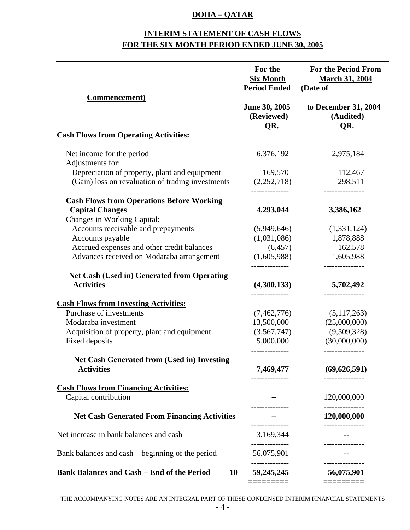#### **DOHA – QATAR**

## **INTERIM STATEMENT OF CASH FLOWS FOR THE SIX MONTH PERIOD ENDED JUNE 30, 2005**

|                                                                                                           | For the<br><b>Six Month</b><br><b>Period Ended</b> | <b>For the Period From</b><br><b>March 31, 2004</b><br>(Date of |
|-----------------------------------------------------------------------------------------------------------|----------------------------------------------------|-----------------------------------------------------------------|
| <b>Commencement</b> )                                                                                     | June 30, 2005<br>(Reviewed)<br>QR.                 | to December 31, 2004<br>(Audited)<br>QR.                        |
| <b>Cash Flows from Operating Activities:</b>                                                              |                                                    |                                                                 |
| Net income for the period<br>Adjustments for:                                                             | 6,376,192                                          | 2,975,184                                                       |
| Depreciation of property, plant and equipment<br>(Gain) loss on revaluation of trading investments        | 169,570<br>(2,252,718)<br>--------------           | 112,467<br>298,511<br>---------------                           |
| <b>Cash Flows from Operations Before Working</b><br><b>Capital Changes</b><br>Changes in Working Capital: | 4,293,044                                          | 3,386,162                                                       |
| Accounts receivable and prepayments<br>Accounts payable                                                   | (5,949,646)<br>(1,031,086)                         | (1,331,124)<br>1,878,888                                        |
| Accrued expenses and other credit balances<br>Advances received on Modaraba arrangement                   | (6, 457)<br>(1,605,988)                            | 162,578<br>1,605,988<br>---------------                         |
| <b>Net Cash (Used in) Generated from Operating</b><br><b>Activities</b>                                   | (4,300,133)                                        | 5,702,492                                                       |
| <b>Cash Flows from Investing Activities:</b>                                                              |                                                    | ---------------                                                 |
| Purchase of investments                                                                                   | (7, 462, 776)                                      | (5,117,263)                                                     |
| Modaraba investment                                                                                       | 13,500,000                                         | (25,000,000)                                                    |
| Acquisition of property, plant and equipment                                                              | (3,567,747)                                        | (9,509,328)                                                     |
| Fixed deposits                                                                                            | 5,000,000                                          | (30,000,000)                                                    |
| <b>Net Cash Generated from (Used in) Investing</b>                                                        | --------------                                     | ---------------                                                 |
| <b>Activities</b>                                                                                         | 7,469,477                                          | (69, 626, 591)<br>-----------                                   |
| <b>Cash Flows from Financing Activities:</b>                                                              |                                                    |                                                                 |
| Capital contribution                                                                                      |                                                    | 120,000,000<br>. <u>.</u> .                                     |
| <b>Net Cash Generated From Financing Activities</b>                                                       |                                                    | 120,000,000                                                     |
| Net increase in bank balances and cash                                                                    | 3,169,344                                          |                                                                 |
| Bank balances and cash – beginning of the period                                                          | 56,075,901                                         |                                                                 |
| <b>Bank Balances and Cash - End of the Period</b><br>10                                                   | 59,245,245                                         | 56,075,901                                                      |
|                                                                                                           |                                                    |                                                                 |

THE ACCOMPANYING NOTES ARE AN INTEGRAL PART OF THESE CONDENSED INTERIM FINANCIAL STATEMENTS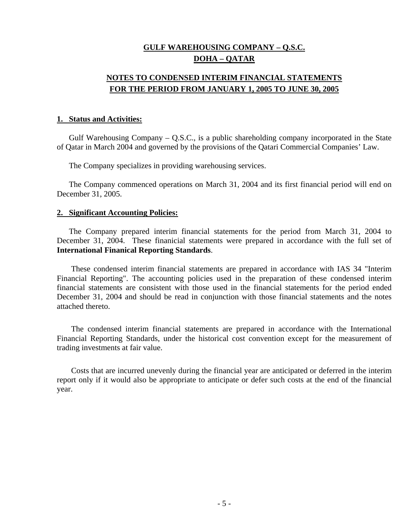#### **GULF WAREHOUSING COMPANY – Q.S.C. DOHA – QATAR**

### **NOTES TO CONDENSED INTERIM FINANCIAL STATEMENTS FOR THE PERIOD FROM JANUARY 1, 2005 TO JUNE 30, 2005**

#### **1. Status and Activities:**

 Gulf Warehousing Company – Q.S.C., is a public shareholding company incorporated in the State of Qatar in March 2004 and governed by the provisions of the Qatari Commercial Companies' Law.

The Company specializes in providing warehousing services.

 The Company commenced operations on March 31, 2004 and its first financial period will end on December 31, 2005.

#### **2. Significant Accounting Policies:**

 The Company prepared interim financial statements for the period from March 31, 2004 to December 31, 2004. These finanicial statements were prepared in accordance with the full set of **International Finanical Reporting Standards**.

 These condensed interim financial statements are prepared in accordance with IAS 34 "Interim Financial Reporting". The accounting policies used in the preparation of these condensed interim financial statements are consistent with those used in the financial statements for the period ended December 31, 2004 and should be read in conjunction with those financial statements and the notes attached thereto.

 The condensed interim financial statements are prepared in accordance with the International Financial Reporting Standards, under the historical cost convention except for the measurement of trading investments at fair value.

 Costs that are incurred unevenly during the financial year are anticipated or deferred in the interim report only if it would also be appropriate to anticipate or defer such costs at the end of the financial year.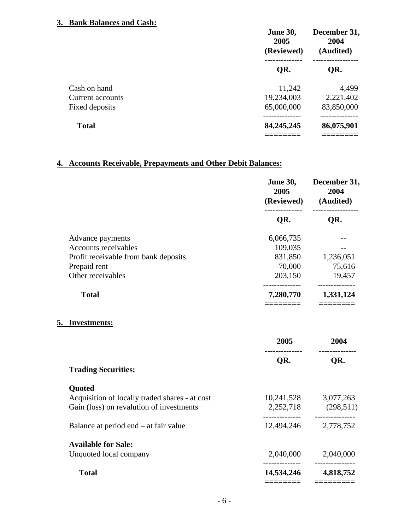#### **3. Bank Balances and Cash:**

|                  | <b>June 30,</b><br>2005<br>(Reviewed) | December 31,<br>2004<br>(Audited) |
|------------------|---------------------------------------|-----------------------------------|
|                  | QR.                                   | QR.                               |
| Cash on hand     | 11,242                                | 4,499                             |
| Current accounts | 19,234,003                            | 2,221,402                         |
| Fixed deposits   | 65,000,000                            | 83,850,000                        |
| <b>Total</b>     | 84, 245, 245                          | 86,075,901                        |
|                  |                                       |                                   |

## **4. Accounts Receivable, Prepayments and Other Debit Balances:**

|                                                | 2005      | June 30, December 31,<br>2004<br>(Reviewed) (Audited) |  |
|------------------------------------------------|-----------|-------------------------------------------------------|--|
|                                                | QR.       | QR.                                                   |  |
| Advance payments                               | 6,066,735 |                                                       |  |
| <b>Accounts receivables</b>                    | 109,035   |                                                       |  |
| Profit receivable from bank deposits           |           | 831,850 1,236,051                                     |  |
| Prepaid rent                                   | 70,000    | 75,616                                                |  |
| Other receivables                              |           | 203,150 19,457                                        |  |
| <b>Total</b>                                   | ========  | --------------<br>7,280,770 1,331,124                 |  |
| 5. Investments:                                | 2005      | 2004                                                  |  |
|                                                | QR.       | QR.                                                   |  |
| <b>Trading Securities:</b>                     |           |                                                       |  |
| Quoted                                         |           |                                                       |  |
| Acquisition of locally traded shares - at cost |           | 10,241,528 3,077,263                                  |  |
| Gain (loss) on revalution of investments       |           | 2,252,718 (298,511)                                   |  |
| Balance at period end – at fair value          |           | 12,494,246 2,778,752                                  |  |
| <b>Available for Sale:</b>                     |           |                                                       |  |
| Unquoted local company                         |           | 2,040,000 2,040,000                                   |  |
| <b>Total</b>                                   |           | 14,534,246 4,818,752                                  |  |
|                                                |           |                                                       |  |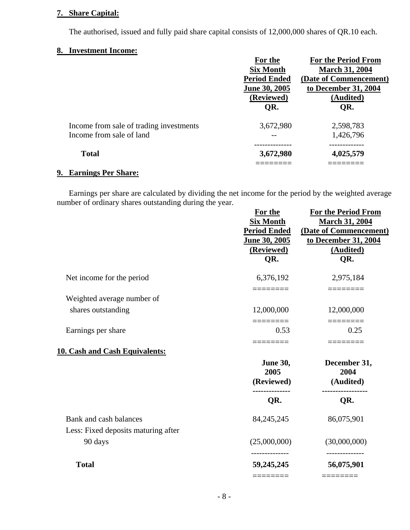#### **7. Share Capital:**

The authorised, issued and fully paid share capital consists of 12,000,000 shares of QR.10 each.

#### **8. Investment Income:**

|                                         | For the             | <b>For the Period From</b> |
|-----------------------------------------|---------------------|----------------------------|
|                                         | <b>Six Month</b>    | <b>March 31, 2004</b>      |
|                                         | <b>Period Ended</b> | (Date of Commencement)     |
|                                         | June 30, 2005       | to December 31, 2004       |
|                                         | (Reviewed)          | (Audited)                  |
|                                         | QR.                 | QR.                        |
| Income from sale of trading investments | 3,672,980           | 2,598,783                  |
| Income from sale of land                |                     | 1,426,796                  |
| <b>Total</b>                            | 3,672,980           | 4,025,579                  |
|                                         |                     |                            |

#### **9. Earnings Per Share:**

 Earnings per share are calculated by dividing the net income for the period by the weighted average number of ordinary shares outstanding during the year.

|                                       | For the<br><b>Six Month</b><br><b>Period Ended</b><br>June 30, 2005<br>(Reviewed)<br>QR. | <b>For the Period From</b><br><b>March 31, 2004</b><br>(Date of Commencement)<br>to December 31, 2004<br>(Audited)<br>QR. |
|---------------------------------------|------------------------------------------------------------------------------------------|---------------------------------------------------------------------------------------------------------------------------|
| Net income for the period             | 6,376,192                                                                                | 2,975,184                                                                                                                 |
| Weighted average number of            |                                                                                          |                                                                                                                           |
| shares outstanding                    | 12,000,000<br>========                                                                   | 12,000,000<br>========                                                                                                    |
| Earnings per share                    | 0.53<br>$=$ $=$ $=$ $=$ $=$ $=$ $=$                                                      | 0.25<br>========                                                                                                          |
| <b>10. Cash and Cash Equivalents:</b> |                                                                                          |                                                                                                                           |
|                                       | <b>June 30,</b><br>2005<br>(Reviewed)                                                    | December 31,<br>2004<br>(Audited)                                                                                         |
|                                       | QR.                                                                                      | QR.                                                                                                                       |
| Bank and cash balances                | 84, 245, 245                                                                             | 86,075,901                                                                                                                |
| Less: Fixed deposits maturing after   |                                                                                          |                                                                                                                           |
| 90 days                               | (25,000,000)                                                                             | (30,000,000)<br>--------------                                                                                            |
| <b>Total</b>                          | 59,245,245                                                                               | 56,075,901                                                                                                                |
|                                       |                                                                                          |                                                                                                                           |